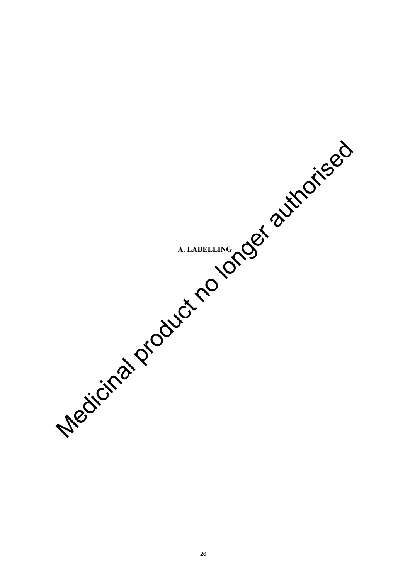**A. LABELLING** Medicinal product no longer authorised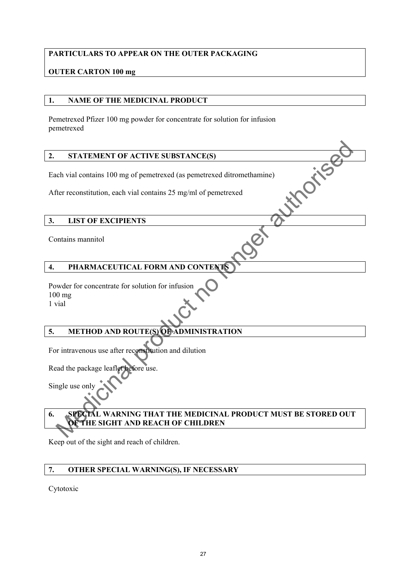### **PARTICULARS TO APPEAR ON THE OUTER PACKAGING**

### **OUTER CARTON 100 mg**

### **1. NAME OF THE MEDICINAL PRODUCT**

Pemetrexed Pfizer 100 mg powder for concentrate for solution for infusion pemetrexed

### **2. STATEMENT OF ACTIVE SUBSTANCE(S)**

Each vial contains 100 mg of pemetrexed (as pemetrexed ditromethamine)<br>After reconstitution, each vial contains 25 mg/ml of pemetrexed<br>3. LIST OF EXCIPIENTS

After reconstitution, each vial contains 25 mg/ml of pemetrexed

### **3. LIST OF EXCIPIENTS**

Contains mannitol

### **4. PHARMACEUTICAL FORM AND CONTENTS**

Powder for concentrate for solution for infusion 100 mg 1 vial

### **5. METHOD AND ROUTE(S) OF ADMINISTRATION**

For intravenous use after reconstitution and dilution

Read the package leaflet before use.

Single use only

# **6. SPECIAL WARNING THAT THE MEDICINAL PRODUCT MUST BE STORED OUT OF THE SIGHT AND REACH OF CHILDREN** STATEMENT OF ACTIVE SUBSTANCE(S)<br>
Ech vial contains 100 mg of permetrexed disperserved ditromethamine)<br>
Echr reconstitution, each vial contains 25 mg/ml of permetrexed<br>
LIST OF EXCIPIENTS<br>
MISSION CONTENTS<br>
METHOD AND ROUT

Keep out of the sight and reach of children.

### **7. OTHER SPECIAL WARNING(S), IF NECESSARY**

Cytotoxic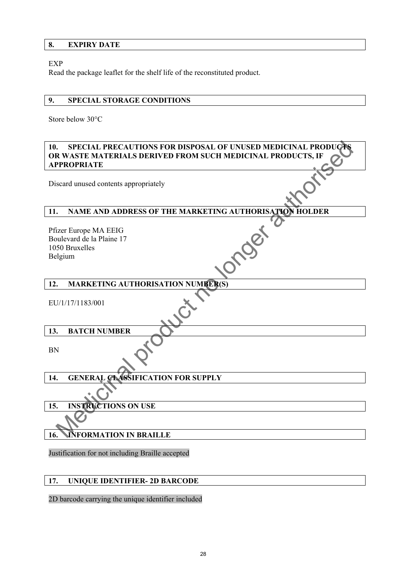### **8. EXPIRY DATE**

### EXP

Read the package leaflet for the shelf life of the reconstituted product.

### **9. SPECIAL STORAGE CONDITIONS**

Store below 30°C

# **10. SPECIAL PRECAUTIONS FOR DISPOSAL OF UNUSED MEDICINAL PRODUC OR WASTE MATERIALS DERIVED FROM SUCH MEDICINAL PRODUCTS, IF APPROPRIATE**  MEDICINAL PRODUCTIONS FOR DISPOSAL OF UNUSED MEDICINAL PRODUCTS.<br>
MANASTE MATERIALS DERIVED FROM SUCH MEDICINAL PRODUCTS. IF<br>
PPROPRIATE<br>
Seard unused contents appropriately<br>
Next Europe MA EEIG<br>
No Bruxelles<br>
No longer an

Discard unused contents appropriately

### **11. NAME AND ADDRESS OF THE MARKETING AUTHORISATION HOLDER**

Pfizer Europe MA EEIG Boulevard de la Plaine 17 1050 Bruxelles Belgium **12. MARKETING AUTHORISATION NUMBER(S)** 

EU/1/17/1183/001

### **13. BATCH NUMBER**

BN

### 14. GENERAL CLASSIFICATION FOR SUPPLY

**15. INSTRUCTIONS ON USE**

### **16. INFORMATION IN BRAILLE**

Justification for not including Braille accepted

### **17. UNIQUE IDENTIFIER- 2D BARCODE**

2D barcode carrying the unique identifier included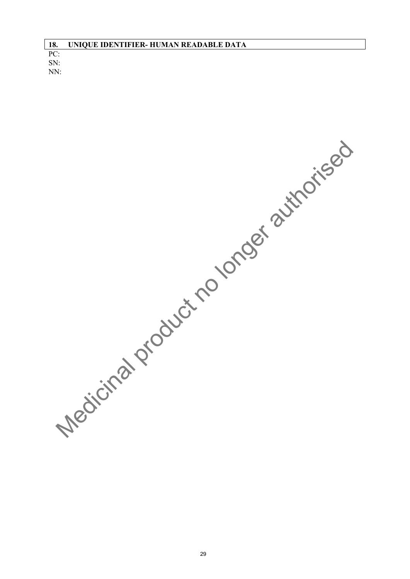| 18. | UNIQUE IDENTIFIER- HUMAN READABLE DATA |
|-----|----------------------------------------|
| PC: |                                        |
| SN: |                                        |
| NN: |                                        |

Medicinal product no longer authorised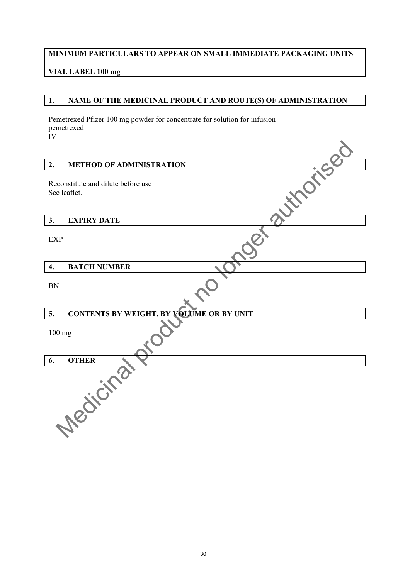### **MINIMUM PARTICULARS TO APPEAR ON SMALL IMMEDIATE PACKAGING UNITS**

### **VIAL LABEL 100 mg**

### **1. NAME OF THE MEDICINAL PRODUCT AND ROUTE(S) OF ADMINISTRATION**

Pemetrexed Pfizer 100 mg powder for concentrate for solution for infusion pemetrexed IV

| <b>METHOD OF ADMINISTRATION</b><br>2.                 |  |
|-------------------------------------------------------|--|
| Reconstitute and dilute before use<br>See leaflet.    |  |
| <b>EXPIRY DATE</b><br>3.                              |  |
| <b>EXP</b>                                            |  |
| <b>BATCH NUMBER</b><br>$\overline{4}$ .               |  |
| <b>BN</b>                                             |  |
| <b>CONTENTS BY WEIGHT, BY VOLUME OR BY UNIT</b><br>5. |  |
| 100 mg                                                |  |
| <b>OTHER</b><br>6.                                    |  |
| Medicine                                              |  |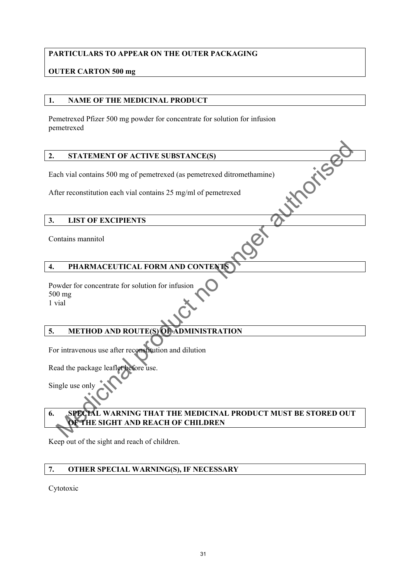### **PARTICULARS TO APPEAR ON THE OUTER PACKAGING**

### **OUTER CARTON 500 mg**

### **1. NAME OF THE MEDICINAL PRODUCT**

Pemetrexed Pfizer 500 mg powder for concentrate for solution for infusion pemetrexed

### **2. STATEMENT OF ACTIVE SUBSTANCE(S)**

Each vial contains 500 mg of pemetrexed (as pemetrexed ditromethamine)<br>After reconstitution each vial contains 25 mg/ml of pemetrexed<br>3. LIST OF EXCIPIENTS

After reconstitution each vial contains 25 mg/ml of pemetrexed

### **3. LIST OF EXCIPIENTS**

Contains mannitol

## **4. PHARMACEUTICAL FORM AND CONTENTS**

Powder for concentrate for solution for infusion 500 mg 1 vial

### **5. METHOD AND ROUTE(S) OF ADMINISTRATION**

For intravenous use after reconstitution and dilution

Read the package leaflet before use.

Single use only

# **6. SPECIAL WARNING THAT THE MEDICINAL PRODUCT MUST BE STORED OUT OF THE SIGHT AND REACH OF CHILDREN** STATEMENT OF ACTIVE SUBSTANCE(S)<br>
Ech vial contains 500 mg of permetrexed disperserved ditromethamine)<br>
There reconstitution each vial contains 25 mg/ml of permetrexed<br>
LIST OF EXCIPIENTS<br>
THARMACEUTICAL FORM AND CONTENDS<br>

Keep out of the sight and reach of children.

### **7. OTHER SPECIAL WARNING(S), IF NECESSARY**

Cytotoxic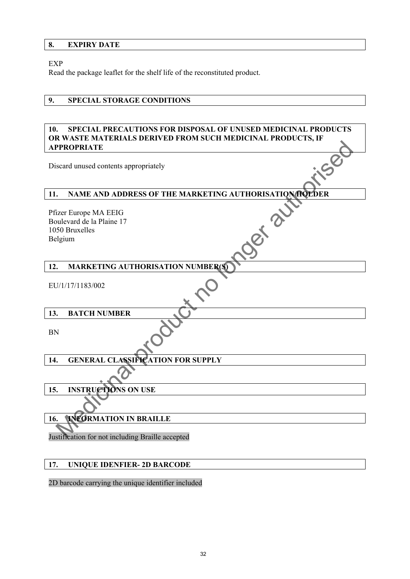### **8. EXPIRY DATE**

### EXP

Read the package leaflet for the shelf life of the reconstituted product.

### **9. SPECIAL STORAGE CONDITIONS**

### **10. SPECIAL PRECAUTIONS FOR DISPOSAL OF UNUSED MEDICINAL PRODUCTS OR WASTE MATERIALS DERIVED FROM SUCH MEDICINAL PRODUCTS, IF APPROPRIATE**

### **12. MARKETING AUTHORISATION NUMBER(S)**

| <b>APPROPRIATE</b>                                                                                  |  |  |  |
|-----------------------------------------------------------------------------------------------------|--|--|--|
| Discard unused contents appropriately                                                               |  |  |  |
| 11.<br>NAME AND ADDRESS OF THE MARKETING AUTHORISATION FIOLDER                                      |  |  |  |
| Pfizer Europe MA EEIG<br>Det <sup>2</sup><br>Boulevard de la Plaine 17<br>1050 Bruxelles<br>Belgium |  |  |  |
|                                                                                                     |  |  |  |
| <b>MARKETING AUTHORISATION NUMBER(S)</b><br>12.                                                     |  |  |  |
| EU/1/17/1183/002                                                                                    |  |  |  |
| <b>BATCH NUMBER</b><br>13.                                                                          |  |  |  |
| <b>BN</b>                                                                                           |  |  |  |
| <b>GENERAL CLASSIFICATION FOR SUPPLY</b><br>14.                                                     |  |  |  |
|                                                                                                     |  |  |  |
| <b>INSTRUCTIONS ON USE</b><br>15.                                                                   |  |  |  |
|                                                                                                     |  |  |  |
| <b>INFORMATION IN BRAILLE</b><br>16.                                                                |  |  |  |
| Justification for not including Braille accepted                                                    |  |  |  |
| 17.<br><b>UNIQUE IDENFIER-2D BARCODE</b>                                                            |  |  |  |

### 2D barcode carrying the unique identifier included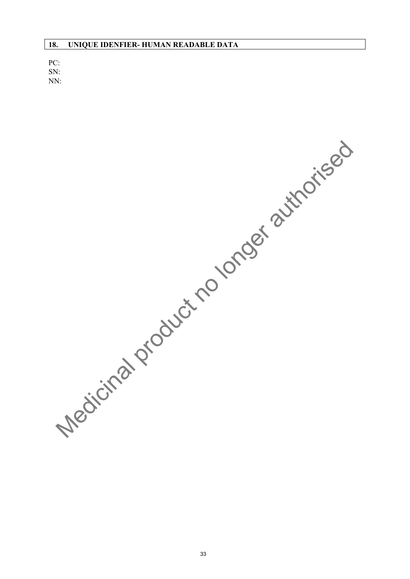PC: SN: NN:

Medicinal product no longer authorised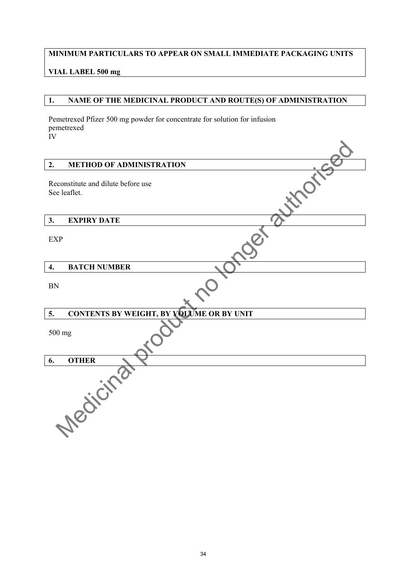### **MINIMUM PARTICULARS TO APPEAR ON SMALL IMMEDIATE PACKAGING UNITS**

### **VIAL LABEL 500 mg**

### **1. NAME OF THE MEDICINAL PRODUCT AND ROUTE(S) OF ADMINISTRATION**

Pemetrexed Pfizer 500 mg powder for concentrate for solution for infusion pemetrexed IV

| 2.               | <b>METHOD OF ADMINISTRATION</b>                    |
|------------------|----------------------------------------------------|
|                  | Reconstitute and dilute before use<br>See leaflet. |
| 3.               | <b>EXPIRY DATE</b>                                 |
| <b>EXP</b>       |                                                    |
| $\overline{4}$ . | <b>BATCH NUMBER</b>                                |
| <b>BN</b>        |                                                    |
| 5.               | <b>CONTENTS BY WEIGHT, BY VOLUME OR BY UNIT</b>    |
| 500 mg           |                                                    |
| 6.               | <b>OTHER</b>                                       |
|                  | Medicine                                           |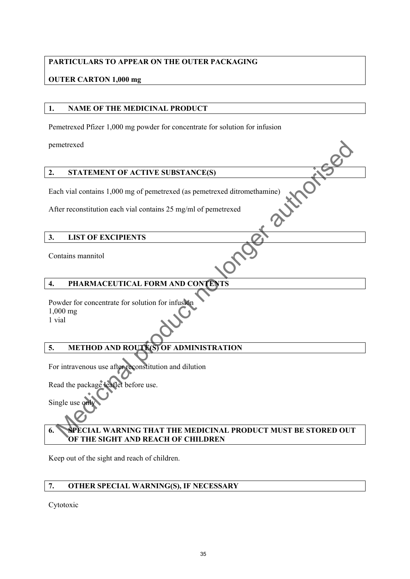### **PARTICULARS TO APPEAR ON THE OUTER PACKAGING**

### **OUTER CARTON 1,000 mg**

### **1. NAME OF THE MEDICINAL PRODUCT**

Pemetrexed Pfizer 1,000 mg powder for concentrate for solution for infusion

pemetrexed

### **2. STATEMENT OF ACTIVE SUBSTANCE(S)**

Each vial contains 1,000 mg of pemetrexed (as pemetrexed ditromethamine) Product no longer

After reconstitution each vial contains 25 mg/ml of pemetrexed

### **3. LIST OF EXCIPIENTS**

Contains mannitol

### **4. PHARMACEUTICAL FORM AND CONTENTS**

Powder for concentrate for solution for infusion 1,000 mg 1 vial

## **5. METHOD AND ROUTE(S) OF ADMINISTRATION**

For intravenous use after reconstitution and dilution

Read the package leaflet before use.

Single use on

### **6. SPECIAL WARNING THAT THE MEDICINAL PRODUCT MUST BE STORED OUT OF THE SIGHT AND REACH OF CHILDREN**

Keep out of the sight and reach of children.

### **7. OTHER SPECIAL WARNING(S), IF NECESSARY**

Cytotoxic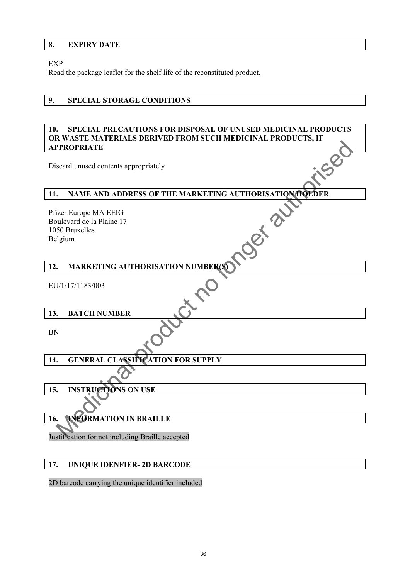### **8. EXPIRY DATE**

### EXP

Read the package leaflet for the shelf life of the reconstituted product.

### **9. SPECIAL STORAGE CONDITIONS**

### **10. SPECIAL PRECAUTIONS FOR DISPOSAL OF UNUSED MEDICINAL PRODUCTS OR WASTE MATERIALS DERIVED FROM SUCH MEDICINAL PRODUCTS, IF APPROPRIATE**

### **12. MARKETING AUTHORISATION NUMBER(S)**

| <b>APPROPRIATE</b>                                                                                  |  |  |  |
|-----------------------------------------------------------------------------------------------------|--|--|--|
| Discard unused contents appropriately                                                               |  |  |  |
| NAME AND ADDRESS OF THE MARKETING AUTHORISATION FIOLDER<br>11.                                      |  |  |  |
| Pfizer Europe MA EEIG<br>Det <sup>2</sup><br>Boulevard de la Plaine 17<br>1050 Bruxelles<br>Belgium |  |  |  |
|                                                                                                     |  |  |  |
|                                                                                                     |  |  |  |
| <b>MARKETING AUTHORISATION NUMBER(S)</b><br>12.                                                     |  |  |  |
| EU/1/17/1183/003                                                                                    |  |  |  |
| <b>BATCH NUMBER</b><br>13.                                                                          |  |  |  |
| <b>BN</b>                                                                                           |  |  |  |
| <b>GENERAL CLASSIFICATION FOR SUPPLY</b><br>14.                                                     |  |  |  |
|                                                                                                     |  |  |  |
| <b>INSTRUCTIONS ON USE</b><br>15.                                                                   |  |  |  |
|                                                                                                     |  |  |  |
| <b>INFORMATION IN BRAILLE</b><br>16.                                                                |  |  |  |
| Justification for not including Braille accepted                                                    |  |  |  |
| 17.<br><b>UNIQUE IDENFIER-2D BARCODE</b>                                                            |  |  |  |
|                                                                                                     |  |  |  |

### 2D barcode carrying the unique identifier included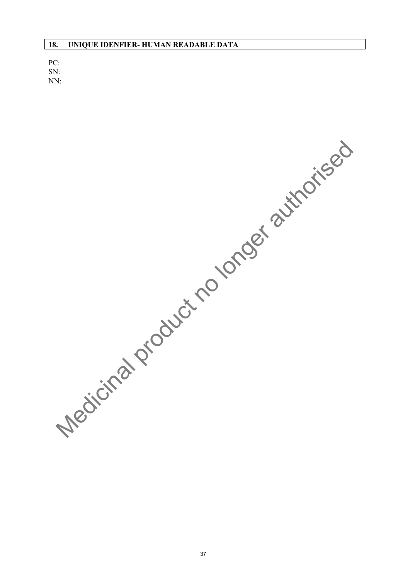PC: SN: NN:

Medicinal product no longer authorised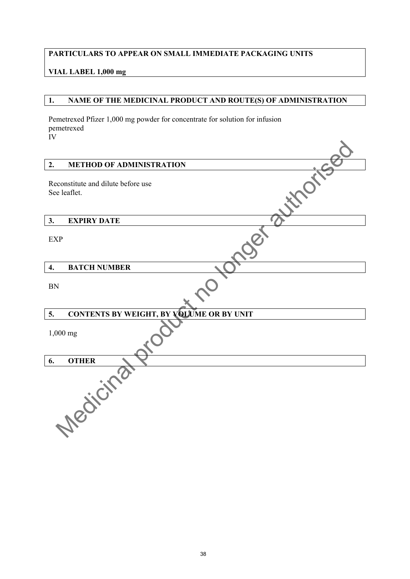### **PARTICULARS TO APPEAR ON SMALL IMMEDIATE PACKAGING UNITS**

### **VIAL LABEL 1,000 mg**

### **1. NAME OF THE MEDICINAL PRODUCT AND ROUTE(S) OF ADMINISTRATION**

Pemetrexed Pfizer 1,000 mg powder for concentrate for solution for infusion pemetrexed IV

| <b>METHOD OF ADMINISTRATION</b><br>2.                 |  |
|-------------------------------------------------------|--|
| Reconstitute and dilute before use<br>See leaflet.    |  |
| <b>EXPIRY DATE</b><br>3.                              |  |
| <b>EXP</b>                                            |  |
| <b>BATCH NUMBER</b><br>4.                             |  |
| <b>BN</b>                                             |  |
| <b>CONTENTS BY WEIGHT, BY VOLUME OR BY UNIT</b><br>5. |  |
| 1,000 mg                                              |  |
| <b>OTHER</b><br>6.                                    |  |
| <b>Nedicitie</b>                                      |  |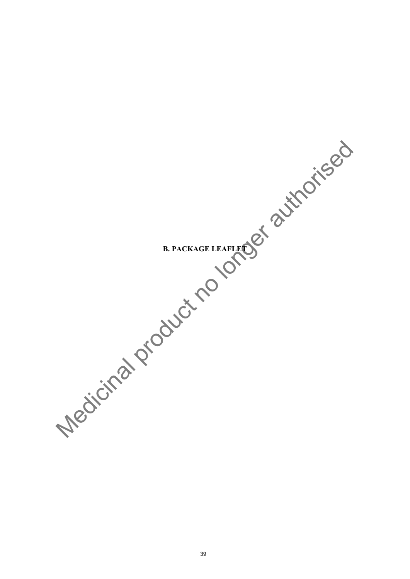**B. PACKAGE LEAFLET**  Medicinal product no longer authorised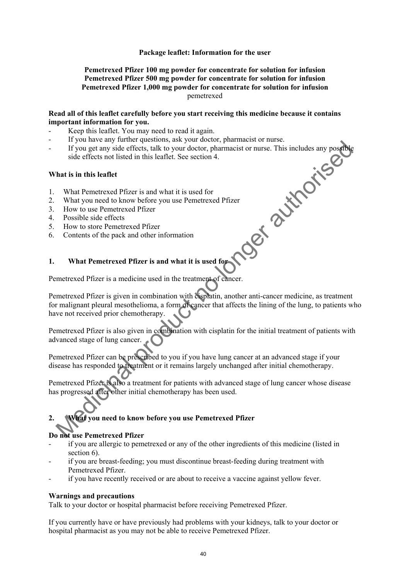### **Package leaflet: Information for the user**

### **Pemetrexed Pfizer 100 mg powder for concentrate for solution for infusion Pemetrexed Pfizer 500 mg powder for concentrate for solution for infusion Pemetrexed Pfizer 1,000 mg powder for concentrate for solution for infusion**  pemetrexed

### **Read all of this leaflet carefully before you start receiving this medicine because it contains important information for you.**

- Keep this leaflet. You may need to read it again.
- If you have any further questions, ask your doctor, pharmacist or nurse.
- If you get any side effects, talk to your doctor, pharmacist or nurse. This includes any possible side effects not listed in this leaflet. See section 4. Ost authorise

### **What is in this leaflet**

- 1. What Pemetrexed Pfizer is and what it is used for
- 2. What you need to know before you use Pemetrexed Pfizer
- 3. How to use Pemetrexed Pfizer
- 4. Possible side effects
- 5. How to store Pemetrexed Pfizer
- 6. Contents of the pack and other information

### **1. What Pemetrexed Pfizer is and what it is used for**

Pemetrexed Pfizer is a medicine used in the treatment of cancer.

Pemetrexed Pfizer is given in combination with cisplatin, another anti-cancer medicine, as treatment for malignant pleural mesothelioma, a form of cancer that affects the lining of the lung, to patients who have not received prior chemotherapy.

Pemetrexed Pfizer is also given in combination with cisplatin for the initial treatment of patients with advanced stage of lung cancer.

Pemetrexed Pfizer can be prescribed to you if you have lung cancer at an advanced stage if your disease has responded to treatment or it remains largely unchanged after initial chemotherapy.

Pemetrexed Pfizer is also a treatment for patients with advanced stage of lung cancer whose disease has progressed after other initial chemotherapy has been used.

# **2. What you need to know before you use Pemetrexed Pfizer**

### **Do not use Pemetrexed Pfizer**

- if you are allergic to pemetrexed or any of the other ingredients of this medicine (listed in section 6).
- if you are breast-feeding; you must discontinue breast-feeding during treatment with Pemetrexed Pfizer.
- if you have recently received or are about to receive a vaccine against yellow fever.

### **Warnings and precautions**

Talk to your doctor or hospital pharmacist before receiving Pemetrexed Pfizer.

If you currently have or have previously had problems with your kidneys, talk to your doctor or hospital pharmacist as you may not be able to receive Pemetrexed Pfizer.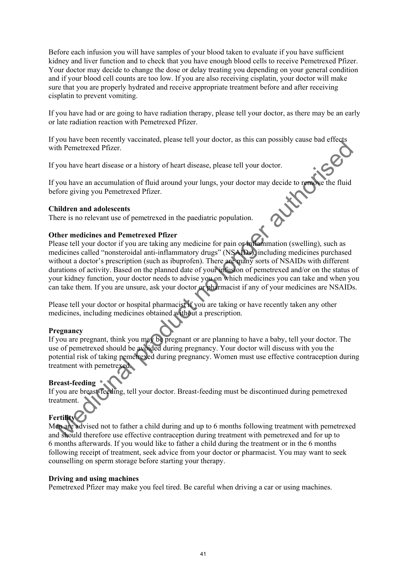Before each infusion you will have samples of your blood taken to evaluate if you have sufficient kidney and liver function and to check that you have enough blood cells to receive Pemetrexed Pfizer. Your doctor may decide to change the dose or delay treating you depending on your general condition and if your blood cell counts are too low. If you are also receiving cisplatin, your doctor will make sure that you are properly hydrated and receive appropriate treatment before and after receiving cisplatin to prevent vomiting.

If you have had or are going to have radiation therapy, please tell your doctor, as there may be an early or late radiation reaction with Pemetrexed Pfizer.

If you have been recently vaccinated, please tell your doctor, as this can possibly cause bad effects with Pemetrexed Pfizer.

If you have heart disease or a history of heart disease, please tell your doctor.

If you have an accumulation of fluid around your lungs, your doctor may decide to remove the fluid before giving you Pemetrexed Pfizer.

### **Children and adolescents**

There is no relevant use of pemetrexed in the paediatric population.

### **Other medicines and Pemetrexed Pfizer**

Please tell your doctor if you are taking any medicine for pain or inflammation (swelling), such as medicines called "nonsteroidal anti-inflammatory drugs" (NSAIDs), including medicines purchased without a doctor's prescription (such as ibuprofen). There are many sorts of NSAIDs with different durations of activity. Based on the planned date of your infusion of pemetrexed and/or on the status of your kidney function, your doctor needs to advise you on which medicines you can take and when you can take them. If you are unsure, ask your doctor or pharmacist if any of your medicines are NSAIDs. Fournament that the methods to the method of the security and the discontinued during penetresed of the production of this amplitude to the production of the divideo the production of the divideo and content of this conten

Please tell your doctor or hospital pharmacist if you are taking or have recently taken any other medicines, including medicines obtained without a prescription.

### **Pregnancy**

If you are pregnant, think you may be pregnant or are planning to have a baby, tell your doctor. The use of pemetrexed should be avoided during pregnancy. Your doctor will discuss with you the potential risk of taking pemetrexed during pregnancy. Women must use effective contraception during treatment with pemetrexed.

### **Breast-feeding**

If you are breast-feeding, tell your doctor. Breast-feeding must be discontinued during pemetrexed treatment.

### **Fertility**

Men are advised not to father a child during and up to 6 months following treatment with pemetrexed and should therefore use effective contraception during treatment with pemetrexed and for up to 6 months afterwards. If you would like to father a child during the treatment or in the 6 months following receipt of treatment, seek advice from your doctor or pharmacist. You may want to seek counselling on sperm storage before starting your therapy.

### **Driving and using machines**

Pemetrexed Pfizer may make you feel tired. Be careful when driving a car or using machines.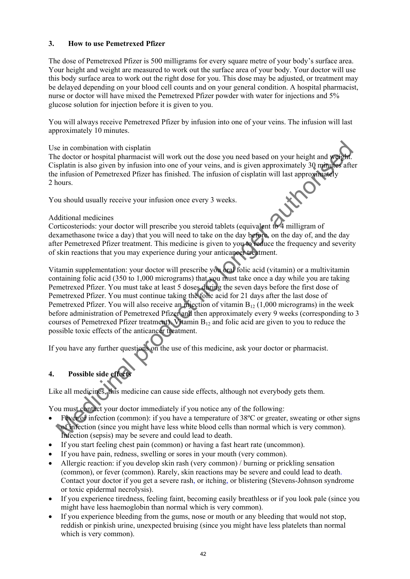### **3. How to use Pemetrexed Pfizer**

The dose of Pemetrexed Pfizer is 500 milligrams for every square metre of your body's surface area. Your height and weight are measured to work out the surface area of your body. Your doctor will use this body surface area to work out the right dose for you. This dose may be adjusted, or treatment may be delayed depending on your blood cell counts and on your general condition. A hospital pharmacist, nurse or doctor will have mixed the Pemetrexed Pfizer powder with water for injections and 5% glucose solution for injection before it is given to you.

You will always receive Pemetrexed Pfizer by infusion into one of your veins. The infusion will last approximately 10 minutes.

### Use in combination with cisplatin

The doctor or hospital pharmacist will work out the dose you need based on your height and weight. Cisplatin is also given by infusion into one of your veins, and is given approximately 30 minutes after the infusion of Pemetrexed Pfizer has finished. The infusion of cisplatin will last approximately 2 hours.

You should usually receive your infusion once every 3 weeks.

### Additional medicines

Corticosteriods: your doctor will prescribe you steroid tablets (equivalent to 4 milligram of dexamethasone twice a day) that you will need to take on the day before, on the day of, and the day after Pemetrexed Pfizer treatment. This medicine is given to you to reduce the frequency and severity of skin reactions that you may experience during your anticancer treatment.

Vitamin supplementation: your doctor will prescribe you oral folic acid (vitamin) or a multivitamin containing folic acid (350 to 1,000 micrograms) that you must take once a day while you are taking Pemetrexed Pfizer. You must take at least 5 doses during the seven days before the first dose of Pemetrexed Pfizer. You must continue taking the folic acid for 21 days after the last dose of Pemetrexed Pfizer. You will also receive an injection of vitamin  $B_{12}$  (1,000 micrograms) in the week before administration of Pemetrexed Pfizer and then approximately every 9 weeks (corresponding to 3 courses of Pemetrexed Pfizer treatment). Vitamin  $B_{12}$  and folic acid are given to you to reduce the possible toxic effects of the anticancer treatment. is in combination with cisplatin<br>
is doctor hospital pharmacist will work out the dose you need based on your height and **reader**<br>
and staplatin is also given by infitsion into one of your veins, and is given approximately

If you have any further questions on the use of this medicine, ask your doctor or pharmacist.

### **4.** Possible side effect

Like all medicines, this medicine can cause side effects, although not everybody gets them.

You must contact your doctor immediately if you notice any of the following:

- Fever or infection (common): if you have a temperature of 38°C or greater, sweating or other signs of infection (since you might have less white blood cells than normal which is very common). Infection (sepsis) may be severe and could lead to death.
- If you start feeling chest pain (common) or having a fast heart rate (uncommon).
- If you have pain, redness, swelling or sores in your mouth (very common).
- Allergic reaction: if you develop skin rash (very common) / burning or prickling sensation (common), or fever (common). Rarely, skin reactions may be severe and could lead to death. Contact your doctor if you get a severe rash, or itching, or blistering (Stevens-Johnson syndrome or toxic epidermal necrolysis).
- If you experience tiredness, feeling faint, becoming easily breathless or if you look pale (since you might have less haemoglobin than normal which is very common).
- If you experience bleeding from the gums, nose or mouth or any bleeding that would not stop, reddish or pinkish urine, unexpected bruising (since you might have less platelets than normal which is very common).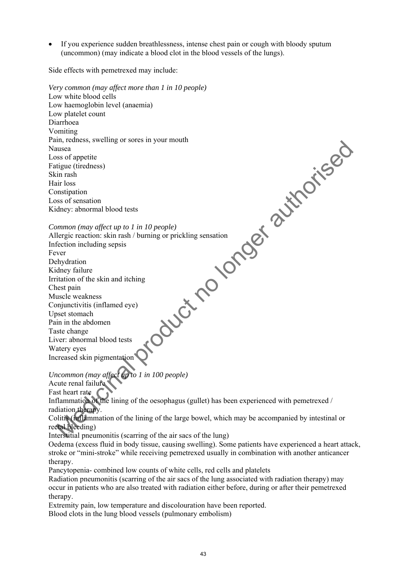If you experience sudden breathlessness, intense chest pain or cough with bloody sputum (uncommon) (may indicate a blood clot in the blood vessels of the lungs).

Side effects with pemetrexed may include:

*Very common (may affect more than 1 in 10 people)*  Low white blood cells Low haemoglobin level (anaemia) Low platelet count Diarrhoea Vomiting Pain, redness, swelling or sores in your mouth Nausea Loss of appetite Fatigue (tiredness) Skin rash Hair loss Constipation Loss of sensation Kidney: abnormal blood tests *Common (may affect up to 1 in 10 people)*  Allergic reaction: skin rash / burning or prickling sensation Infection including sepsis Fever Dehydration Kidney failure Irritation of the skin and itching Chest pain Muscle weakness Conjunctivitis (inflamed eye) Upset stomach Pain in the abdomen Taste change Liver: abnormal blood tests Watery eyes Increased skin pigmentation *Uncommon (may affect up to 1 in 100 people)*  Acute renal failure Fast heart rate Inflammation of the lining of the oesophagus (gullet) has been experienced with pemetrexed / radiation therapy. Colitis (inflammation of the lining of the large bowel, which may be accompanied by intestinal or rectal bleeding) Interstitial pneumonitis (scarring of the air sacs of the lung) Oedema (excess fluid in body tissue, causing swelling). Some patients have experienced a heart attack, stroke or "mini-stroke" while receiving pemetrexed usually in combination with another anticancer therapy. Pancytopenia- combined low counts of white cells, red cells and platelets Radiation pneumonitis (scarring of the air sacs of the lung associated with radiation therapy) may oduct no longer authorised

occur in patients who are also treated with radiation either before, during or after their pemetrexed therapy.

Extremity pain, low temperature and discolouration have been reported. Blood clots in the lung blood vessels (pulmonary embolism)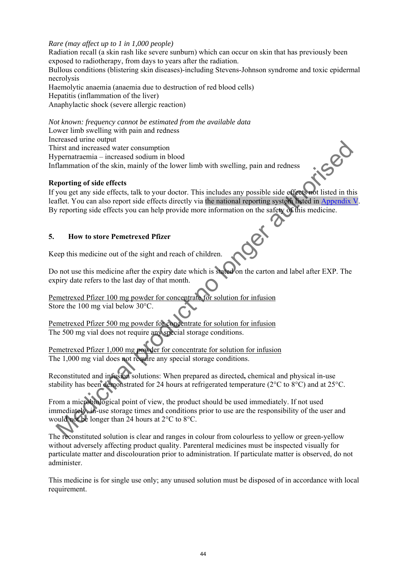### *Rare (may affect up to 1 in 1,000 people)*

Radiation recall (a skin rash like severe sunburn) which can occur on skin that has previously been exposed to radiotherapy, from days to years after the radiation. Bullous conditions (blistering skin diseases)-including Stevens-Johnson syndrome and toxic epidermal necrolysis Haemolytic anaemia (anaemia due to destruction of red blood cells) Hepatitis (inflammation of the liver) Anaphylactic shock (severe allergic reaction)

*Not known: frequency cannot be estimated from the available data*  Lower limb swelling with pain and redness Increased urine output

Thirst and increased water consumption Hypernatraemia – increased sodium in blood Inflammation of the skin, mainly of the lower limb with swelling, pain and redness

### **Reporting of side effects**

If you get any side effects, talk to your doctor. This includes any possible side effects not listed in this leaflet. You can also report side effects directly via the national reporting system listed in Appendix V. By reporting side effects you can help provide more information on the safety of this medicine. Exerta can be consumption<br>
Linst and increased water consumption<br>
promatrionia – increased socialism in blood<br>
flammation of the sks in, mainly of the lower limb with swelling, pain and redness<br>
aporting of side effects a

### **5. How to store Pemetrexed Pfizer**

Keep this medicine out of the sight and reach of children.

Do not use this medicine after the expiry date which is stated on the carton and label after EXP. The expiry date refers to the last day of that month.

Pemetrexed Pfizer 100 mg powder for concentrate for solution for infusion Store the 100 mg vial below 30°C.

Pemetrexed Pfizer 500 mg powder for concentrate for solution for infusion The 500 mg vial does not require any special storage conditions.

Pemetrexed Pfizer 1,000 mg powder for concentrate for solution for infusion The 1,000 mg vial does not require any special storage conditions.

Reconstituted and infusion solutions: When prepared as directed**,** chemical and physical in-use stability has been demonstrated for 24 hours at refrigerated temperature (2°C to 8°C) and at 25°C.

From a microbiological point of view, the product should be used immediately. If not used immediately, in-use storage times and conditions prior to use are the responsibility of the user and would not be longer than 24 hours at 2°C to 8°C.

The reconstituted solution is clear and ranges in colour from colourless to yellow or green-yellow without adversely affecting product quality. Parenteral medicines must be inspected visually for particulate matter and discolouration prior to administration. If particulate matter is observed, do not administer.

This medicine is for single use only; any unused solution must be disposed of in accordance with local requirement.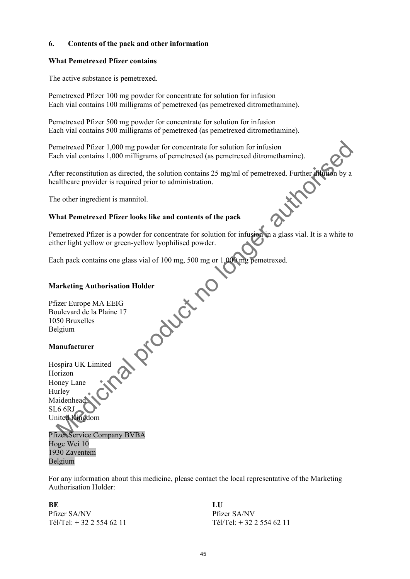### **6. Contents of the pack and other information**

### **What Pemetrexed Pfizer contains**

The active substance is pemetrexed.

Pemetrexed Pfizer 100 mg powder for concentrate for solution for infusion Each vial contains 100 milligrams of pemetrexed (as pemetrexed ditromethamine).

Pemetrexed Pfizer 500 mg powder for concentrate for solution for infusion Each vial contains 500 milligrams of pemetrexed (as pemetrexed ditromethamine).

Pemetrexed Pfizer 1,000 mg powder for concentrate for solution for infusion Each vial contains 1,000 milligrams of pemetrexed (as pemetrexed ditromethamine).

After reconstitution as directed, the solution contains 25 mg/ml of pemetrexed. Further dilution by a healthcare provider is required prior to administration.

The other ingredient is mannitol.

### **What Pemetrexed Pfizer looks like and contents of the pack**

Pemetrexed Pfizer is a powder for concentrate for solution for infusion in a glass vial. It is a white to either light yellow or green-yellow lyophilised powder.

Each pack contains one glass vial of 100 mg, 500 mg or 1,000 mg pemetrexed. Product no

### **Marketing Authorisation Holder**

Pfizer Europe MA EEIG Boulevard de la Plaine 17 1050 Bruxelles Belgium

### **Manufacturer**

Hospira UK Limited Horizon Honey Lane Hurley Maidenhead SL6 6RJ United Kingdom

Pfizer Service Company BVBA Hoge Wei 10 1930 Zaventem Belgium

For any information about this medicine, please contact the local representative of the Marketing Authorisation Holder:

### **BE**

Pfizer SA/NV Tél/Tel: + 32 2 554 62 11 **LU**  Pfizer SA/NV Tél/Tel: + 32 2 554 62 11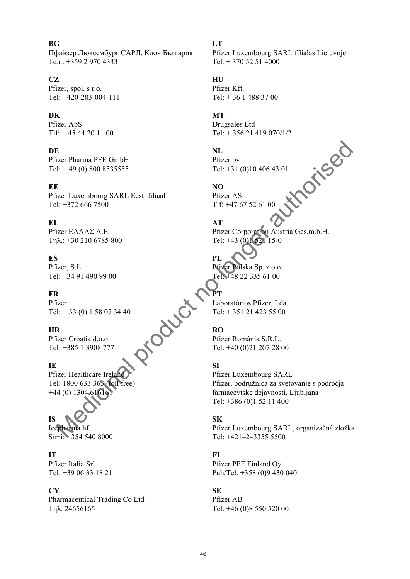**BG**  Пфайзер Люксембург САРЛ, Клон България Тел.: +359 2 970 4333

### **CZ**

Pfizer, spol. s r.o. Tel: +420-283-004-111

### **DK**

Pfizer ApS Tlf: + 45 44 20 11 00

### **DE**

Pfizer Pharma PFE GmbH Tel:  $+49(0)8008535555$ 

### **EE**

Pfizer Luxembourg SARL Eesti filiaal Tel: +372 666 7500

### **EL**

Pfizer ΕΛΛΑΣ A.E. Τηλ.: +30 210 6785 800

### **ES**

Pfizer, S.L. Tel: +34 91 490 99 00

### **FR**

Pfizer Tél: + 33 (0) 1 58 07 34 40

### **HR**

Pfizer Croatia d.o.o. Tel: +385 1 3908 777

### **IE**

Pfizer Healthcare Ireland Tel: 1800 633 363 (toll free)  $+44(0)$  1304 616161

### **IS**

Icepharma hf. Sími: +354 540 8000

### **IT**

Pfizer Italia Srl Tel: +39 06 33 18 21

### **CY**

Pharmaceutical Trading Co Ltd Τηλ: 24656165

**LT**  Pfizer Luxembourg SARL filialas Lietuvoje Tel. + 370 52 51 4000

### **HU**  Pfizer Kft.

Tel: + 36 1 488 37 00

### **MT**

Drugsales Ltd Tel: + 356 21 419 070/1/2

**NL**  Pfizer bv Tel: +31 (0)10 406 43 01

**NO** 

Pfizer AS Tlf: +47 67 52 61 00

**AT**  Pfizer Corporation Austria Ges.m.b.H. Tel: +43 (0)1 521 15-0

**PL**  Pfizer Polska Sp. z o.o. Tel: +48 22 335 61 00

### **PT**

Laboratórios Pfizer, Lda. Tel: + 351 21 423 55 00

### **RO**

Pfizer România S.R.L. Tel: +40 (0)21 207 28 00

### **SI**

Pfizer Luxembourg SARL Pfizer, podružnica za svetovanje s področja farmacevtske dejavnosti, Ljubljana Tel: +386 (0)1 52 11 400 E<br>
Extra Pharma PFL GmbH<br>
E:  $+39(0) 800 8535555$ <br>
E<br>
E:  $1: +372 666 7500$ <br>
E:  $1: +372 666 7500$ <br>
Tal:  $+372 666 7500$ <br>
Tal:  $+372 666 7500$ <br>
Tal:  $+3767 52 61 00$ <br>
Tal:  $+3767 52 61 00$ <br>
Tal:  $+3767 52 61 00$ <br>
Tal:  $+376$ 

### **SK**

Pfizer Luxembourg SARL, organizačná zložka Tel: +421–2–3355 5500

### **FI**

Pfizer PFE Finland Oy Puh/Tel: +358 (0)9 430 040

### **SE**

Pfizer AB Tel: +46 (0)8 550 520 00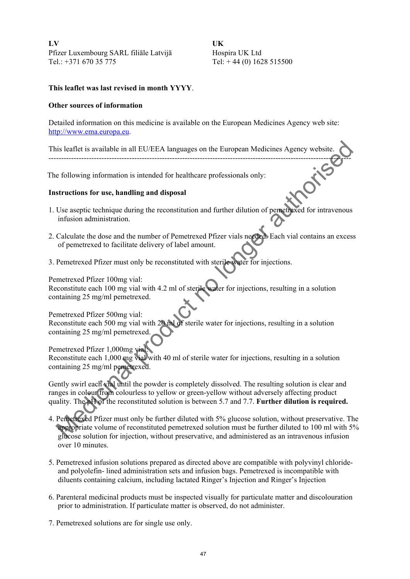**LV**  Pfizer Luxembourg SARL filiāle Latvijā Tel.: +371 670 35 775

**UK**  Hospira UK Ltd Tel:  $+44(0)$  1628 515500

### **This leaflet was last revised in month YYYY**.

### **Other sources of information**

Detailed information on this medicine is available on the European Medicines Agency web site: http://www.ema.europa.eu.

This leaflet is available in all EU/EEA languages on the European Medicines Agency website. ------------------------------------------------------------------------------------------------------------------------

The following information is intended for healthcare professionals only:

### **Instructions for use, handling and disposal**

- 1. Use aseptic technique during the reconstitution and further dilution of pemetrexed for intravenous infusion administration.
- 2. Calculate the dose and the number of Pemetrexed Pfizer vials needed. Each vial contains an excess of pemetrexed to facilitate delivery of label amount.
- 3. Pemetrexed Pfizer must only be reconstituted with sterile water for injections.

Pemetrexed Pfizer 100mg vial:

Reconstitute each 100 mg vial with 4.2 ml of sterile water for injections, resulting in a solution containing 25 mg/ml pemetrexed.

Pemetrexed Pfizer 500mg vial: Reconstitute each 500 mg vial with 20 ml of sterile water for injections, resulting in a solution containing 25 mg/ml pemetrexed.

Pemetrexed Pfizer 1,000mg vial: Reconstitute each 1,000 mg vial with 40 ml of sterile water for injections, resulting in a solution containing 25 mg/ml pemetrexed.

Gently swirl each vial until the powder is completely dissolved. The resulting solution is clear and ranges in colour from colourless to yellow or green-yellow without adversely affecting product quality. The pH of the reconstituted solution is between 5.7 and 7.7. **Further dilution is required.** is leaflet is available in all EU/EEA languages on the European Medicines Agency website.<br>
following information is intended for healthcare professionals only:<br> **Structions for use, handling and disposal**<br>
Use aseptic tech

- 4. Pemetrexed Pfizer must only be further diluted with 5% glucose solution, without preservative. The appropriate volume of reconstituted pemetrexed solution must be further diluted to 100 ml with 5% glucose solution for injection, without preservative, and administered as an intravenous infusion over 10 minutes.
- 5. Pemetrexed infusion solutions prepared as directed above are compatible with polyvinyl chlorideand polyolefin- lined administration sets and infusion bags. Pemetrexed is incompatible with diluents containing calcium, including lactated Ringer's Injection and Ringer's Injection
- 6. Parenteral medicinal products must be inspected visually for particulate matter and discolouration prior to administration. If particulate matter is observed, do not administer.
- 7. Pemetrexed solutions are for single use only.